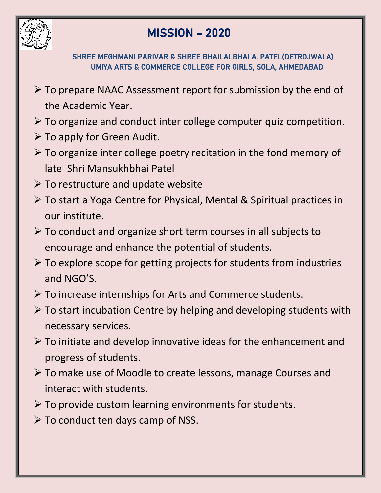

## MISSION - 2020

## SHREE MEGHMANI PARIVAR & SHREE BHAILALBHAI A. PATEL(DETROJWALA) UMIYA ARTS & COMMERCE COLLEGE FOR GIRLS, SOLA, AHMEDABAD

 $\triangleright$  To prepare NAAC Assessment report for submission by the end of the Academic Year.

 $\overline{a}$ 

- To organize and conduct inter college computer quiz competition.
- $\triangleright$  To apply for Green Audit.
- $\triangleright$  To organize inter college poetry recitation in the fond memory of late Shri Mansukhbhai Patel
- $\triangleright$  To restructure and update website
- To start a Yoga Centre for Physical, Mental & Spiritual practices in our institute.
- $\triangleright$  To conduct and organize short term courses in all subjects to encourage and enhance the potential of students.
- $\triangleright$  To explore scope for getting projects for students from industries and NGO'S.
- $\triangleright$  To increase internships for Arts and Commerce students.
- $\triangleright$  To start incubation Centre by helping and developing students with necessary services.
- $\triangleright$  To initiate and develop innovative ideas for the enhancement and progress of students.
- To make use of Moodle to create lessons, manage Courses and interact with students.
- $\triangleright$  To provide custom learning environments for students.
- $\triangleright$  To conduct ten days camp of NSS.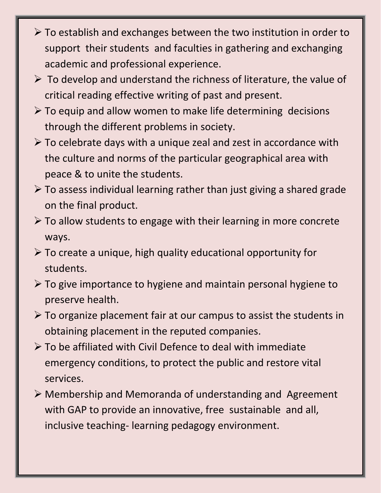- $\triangleright$  To establish and exchanges between the two institution in order to support their students and faculties in gathering and exchanging academic and professional experience.
- $\triangleright$  To develop and understand the richness of literature, the value of critical reading effective writing of past and present.
- $\triangleright$  To equip and allow women to make life determining decisions through the different problems in society.
- $\triangleright$  To celebrate days with a unique zeal and zest in accordance with the culture and norms of the particular geographical area with peace & to unite the students.
- $\triangleright$  To assess individual learning rather than just giving a shared grade on the final product.
- $\triangleright$  To allow students to engage with their learning in more concrete ways.
- $\triangleright$  To create a unique, high quality educational opportunity for students.
- $\triangleright$  To give importance to hygiene and maintain personal hygiene to preserve health.
- $\triangleright$  To organize placement fair at our campus to assist the students in obtaining placement in the reputed companies.
- $\triangleright$  To be affiliated with Civil Defence to deal with immediate emergency conditions, to protect the public and restore vital services.
- Membership and Memoranda of understanding and Agreement with GAP to provide an innovative, free sustainable and all, inclusive teaching- learning pedagogy environment.